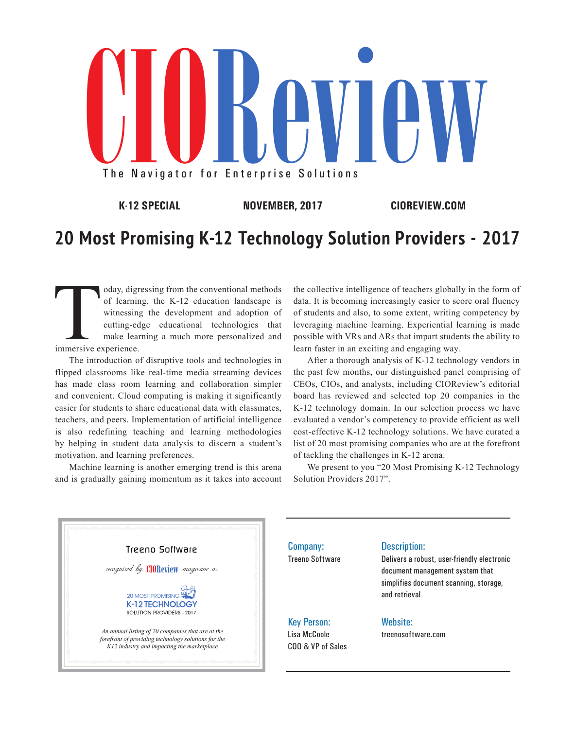

**K-12 SPECIAL NOVEMBER, 2017 CIOREVIEW.COM**

### **20 Most Promising K-12 Technology Solution Providers - 2017**

oday, digressing from the conventional methods<br>of learning, the K-12 education landscape is<br>witnessing the development and adoption of<br>cutting-edge educational technologies that<br>make learning a much more personalized and<br>i of learning, the K-12 education landscape is witnessing the development and adoption of cutting-edge educational technologies that make learning a much more personalized and immersive experience.

The introduction of disruptive tools and technologies in flipped classrooms like real-time media streaming devices has made class room learning and collaboration simpler and convenient. Cloud computing is making it significantly easier for students to share educational data with classmates, teachers, and peers. Implementation of artificial intelligence is also redefining teaching and learning methodologies by helping in student data analysis to discern a student's motivation, and learning preferences.

Machine learning is another emerging trend is this arena and is gradually gaining momentum as it takes into account the collective intelligence of teachers globally in the form of data. It is becoming increasingly easier to score oral fluency of students and also, to some extent, writing competency by leveraging machine learning. Experiential learning is made possible with VRs and ARs that impart students the ability to learn faster in an exciting and engaging way.

After a thorough analysis of K-12 technology vendors in the past few months, our distinguished panel comprising of CEOs, CIOs, and analysts, including CIOReview's editorial board has reviewed and selected top 20 companies in the K-12 technology domain. In our selection process we have evaluated a vendor's competency to provide efficient as well cost-effective K-12 technology solutions. We have curated a list of 20 most promising companies who are at the forefront of tackling the challenges in K-12 arena.

We present to you "20 Most Promising K-12 Technology Solution Providers 2017".

### Treeno Software recognized by **CHOReview** magazine as 20 MOST PROMISING **PC** SOLUTION PROVIDERS - 2017 *An annual listing of 20 companies that are at the forefront of providing technology solutions for the K12 industry and impacting the marketplace*

Company: Treeno Software

#### Description:

Delivers a robust, user-friendly electronic document management system that simplifies document scanning, storage, and retrieval

#### Key Person: Lisa McCoole COO & VP of Sales

#### Website:

treenosoftware.com